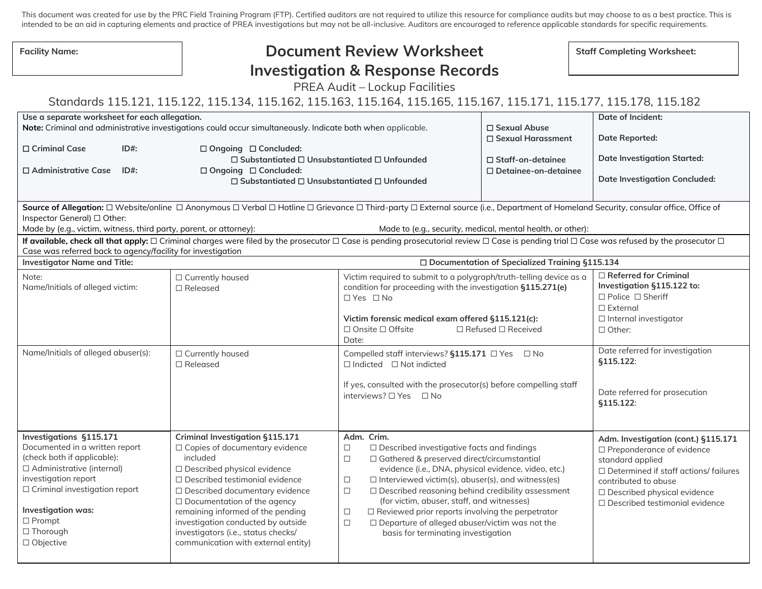This document was created for use by the PRC Field Training Program (FTP). Certified auditors are not required to utilize this resource for compliance audits but may choose to as a best practice. This is intended to be an aid in capturing elements and practice of PREA investigations but may not be all-inclusive. Auditors are encouraged to reference applicable standards for specific requirements.

| <b>Facility Name:</b>                                                                                                                                                                                                                                                                                                                                                                                                                                                                                                                                                          | <b>Document Review Worksheet</b>                                                                                                                                                                                                                                    |                                                                                                                                                                                                                                                                                                                                                                  | <b>Staff Completing Worksheet:</b>    |                                                                                                                                                           |  |
|--------------------------------------------------------------------------------------------------------------------------------------------------------------------------------------------------------------------------------------------------------------------------------------------------------------------------------------------------------------------------------------------------------------------------------------------------------------------------------------------------------------------------------------------------------------------------------|---------------------------------------------------------------------------------------------------------------------------------------------------------------------------------------------------------------------------------------------------------------------|------------------------------------------------------------------------------------------------------------------------------------------------------------------------------------------------------------------------------------------------------------------------------------------------------------------------------------------------------------------|---------------------------------------|-----------------------------------------------------------------------------------------------------------------------------------------------------------|--|
|                                                                                                                                                                                                                                                                                                                                                                                                                                                                                                                                                                                | <b>Investigation &amp; Response Records</b>                                                                                                                                                                                                                         |                                                                                                                                                                                                                                                                                                                                                                  |                                       |                                                                                                                                                           |  |
| PREA Audit - Lockup Facilities                                                                                                                                                                                                                                                                                                                                                                                                                                                                                                                                                 |                                                                                                                                                                                                                                                                     |                                                                                                                                                                                                                                                                                                                                                                  |                                       |                                                                                                                                                           |  |
| Standards 115.121, 115.122, 115.134, 115.162, 115.163, 115.164, 115.165, 115.167, 115.171, 115.177, 115.178, 115.182                                                                                                                                                                                                                                                                                                                                                                                                                                                           |                                                                                                                                                                                                                                                                     |                                                                                                                                                                                                                                                                                                                                                                  |                                       |                                                                                                                                                           |  |
|                                                                                                                                                                                                                                                                                                                                                                                                                                                                                                                                                                                |                                                                                                                                                                                                                                                                     |                                                                                                                                                                                                                                                                                                                                                                  |                                       |                                                                                                                                                           |  |
| Use a separate worksheet for each allegation.                                                                                                                                                                                                                                                                                                                                                                                                                                                                                                                                  | Note: Criminal and administrative investigations could occur simultaneously. Indicate both when applicable.                                                                                                                                                         |                                                                                                                                                                                                                                                                                                                                                                  | □ Sexual Abuse<br>□ Sexual Harassment | <b>Date of Incident:</b><br><b>Date Reported:</b>                                                                                                         |  |
| □ Criminal Case<br>$ID#$ :                                                                                                                                                                                                                                                                                                                                                                                                                                                                                                                                                     | □ Ongoing □ Concluded:                                                                                                                                                                                                                                              |                                                                                                                                                                                                                                                                                                                                                                  |                                       |                                                                                                                                                           |  |
| □ Administrative Case<br>$ID#$ :                                                                                                                                                                                                                                                                                                                                                                                                                                                                                                                                               | $\Box$ Substantiated $\Box$ Unsubstantiated $\Box$ Unfounded<br>$\Box$ Staff-on-detainee<br>□ Ongoing □ Concluded:<br>$\square$ Detainee-on-detainee                                                                                                                |                                                                                                                                                                                                                                                                                                                                                                  | <b>Date Investigation Started:</b>    |                                                                                                                                                           |  |
|                                                                                                                                                                                                                                                                                                                                                                                                                                                                                                                                                                                | $\Box$ Substantiated $\Box$ Unsubstantiated $\Box$ Unfounded                                                                                                                                                                                                        |                                                                                                                                                                                                                                                                                                                                                                  |                                       | <b>Date Investigation Concluded:</b>                                                                                                                      |  |
| Source of Allegation: □ Website/online □ Anonymous □ Verbal □ Hotline □ Grievance □ Third-party □ External source (i.e., Department of Homeland Security, consular office, Office of<br>Inspector General) □ Other:<br>Made by (e.g., victim, witness, third party, parent, or attorney):<br>Made to (e.g., security, medical, mental health, or other):<br>If available, check all that apply: $\Box$ Criminal charges were filed by the prosecutor $\Box$ Case is pending prosecutorial review $\Box$ Case is pending trial $\Box$ Case was refused by the prosecutor $\Box$ |                                                                                                                                                                                                                                                                     |                                                                                                                                                                                                                                                                                                                                                                  |                                       |                                                                                                                                                           |  |
| Case was referred back to agency/facility for investigation<br><b>Investigator Name and Title:</b><br>□ Documentation of Specialized Training §115.134                                                                                                                                                                                                                                                                                                                                                                                                                         |                                                                                                                                                                                                                                                                     |                                                                                                                                                                                                                                                                                                                                                                  |                                       |                                                                                                                                                           |  |
| Note:<br>Name/Initials of alleged victim:                                                                                                                                                                                                                                                                                                                                                                                                                                                                                                                                      | □ Currently housed<br>$\square$ Released                                                                                                                                                                                                                            | Victim required to submit to a polygraph/truth-telling device as a<br>condition for proceeding with the investigation §115.271(e)<br>$\Box$ Yes $\Box$ No<br>Victim forensic medical exam offered §115.121(c):<br>$\Box$ Onsite $\Box$ Offsite<br>$\Box$ Refused $\Box$ Received<br>Date:                                                                        |                                       | $\Box$ Referred for Criminal<br>Investigation §115.122 to:<br>$\Box$ Police $\Box$ Sheriff<br>$\Box$ External<br>□ Internal investigator<br>$\Box$ Other: |  |
| Name/Initials of alleged abuser(s):                                                                                                                                                                                                                                                                                                                                                                                                                                                                                                                                            | □ Currently housed<br>$\Box$ Released                                                                                                                                                                                                                               | Compelled staff interviews? §115.171 □ Yes □ No<br>$\Box$ Indicted $\Box$ Not indicted<br>If yes, consulted with the prosecutor(s) before compelling staff<br>interviews? □ Yes □ No                                                                                                                                                                             |                                       | Date referred for investigation<br>§115.122:<br>Date referred for prosecution                                                                             |  |
| Investigations §115.171<br>Documented in a written report<br>(check both if applicable):<br>$\Box$ Administrative (internal)                                                                                                                                                                                                                                                                                                                                                                                                                                                   | Criminal Investigation §115.171<br>□ Copies of documentary evidence<br>included<br>□ Described physical evidence                                                                                                                                                    | Adm. Crim.<br>$\Box$ Described investigative facts and findings<br>$\Box$<br>$\Box$<br>$\Box$ Gathered & preserved direct/circumstantial<br>evidence (i.e., DNA, physical evidence, video, etc.)                                                                                                                                                                 |                                       | §115.122:<br>Adm. Investigation (cont.) §115.171<br>$\Box$ Preponderance of evidence<br>standard applied<br>$\Box$ Determined if staff actions/ failures  |  |
| investigation report<br>$\Box$ Criminal investigation report<br>Investigation was:<br>$\Box$ Prompt<br>$\Box$ Thorough<br>□ Objective                                                                                                                                                                                                                                                                                                                                                                                                                                          | □ Described testimonial evidence<br>□ Described documentary evidence<br>$\Box$ Documentation of the agency<br>remaining informed of the pending<br>investigation conducted by outside<br>investigators (i.e., status checks/<br>communication with external entity) | $\Box$ Interviewed victim(s), abuser(s), and witness(es)<br>$\Box$<br>$\Box$<br>□ Described reasoning behind credibility assessment<br>(for victim, abuser, staff, and witnesses)<br>$\Box$ Reviewed prior reports involving the perpetrator<br>$\Box$<br>$\Box$<br>$\Box$ Departure of alleged abuser/victim was not the<br>basis for terminating investigation |                                       | contributed to abuse<br>□ Described physical evidence<br>$\Box$ Described testimonial evidence                                                            |  |